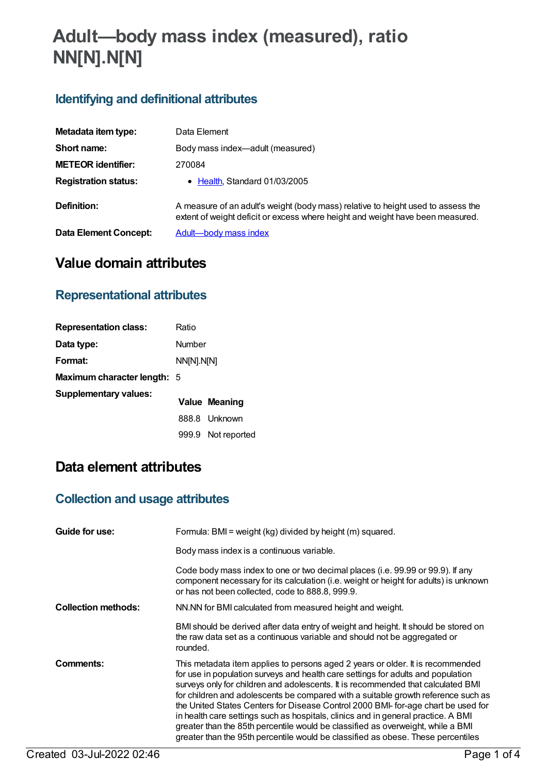# **Adult—body mass index (measured), ratio NN[N].N[N]**

# **Identifying and definitional attributes**

| Metadata item type:          | Data Element                                                                                                                                                       |
|------------------------------|--------------------------------------------------------------------------------------------------------------------------------------------------------------------|
| Short name:                  | Body mass index-adult (measured)                                                                                                                                   |
| <b>METEOR identifier:</b>    | 270084                                                                                                                                                             |
| <b>Registration status:</b>  | • Health, Standard 01/03/2005                                                                                                                                      |
| Definition:                  | A measure of an adult's weight (body mass) relative to height used to assess the<br>extent of weight deficit or excess where height and weight have been measured. |
| <b>Data Element Concept:</b> | Adult-body mass index                                                                                                                                              |

# **Value domain attributes**

## **Representational attributes**

| <b>Representation class:</b> | Ratio      |               |
|------------------------------|------------|---------------|
| Data type:                   | Number     |               |
| Format:                      | NN[N].N[N] |               |
| Maximum character length: 5  |            |               |
| Supplementary values:        |            | Value Meaning |
|                              |            | 888.8 Unknown |
|                              | 999.9      | Not reported  |

# **Data element attributes**

## **Collection and usage attributes**

| Guide for use:             | Formula: BMI = weight (kg) divided by height (m) squared.                                                                                                                                                                                                                                                                                                                                                                                                                                                                                                                                                                                                                                    |
|----------------------------|----------------------------------------------------------------------------------------------------------------------------------------------------------------------------------------------------------------------------------------------------------------------------------------------------------------------------------------------------------------------------------------------------------------------------------------------------------------------------------------------------------------------------------------------------------------------------------------------------------------------------------------------------------------------------------------------|
|                            | Body mass index is a continuous variable.                                                                                                                                                                                                                                                                                                                                                                                                                                                                                                                                                                                                                                                    |
|                            | Code body mass index to one or two decimal places (i.e. 99.99 or 99.9). If any<br>component necessary for its calculation (i.e. weight or height for adults) is unknown<br>or has not been collected, code to 888.8, 999.9.                                                                                                                                                                                                                                                                                                                                                                                                                                                                  |
| <b>Collection methods:</b> | NN.NN for BMI calculated from measured height and weight.                                                                                                                                                                                                                                                                                                                                                                                                                                                                                                                                                                                                                                    |
|                            | BMI should be derived after data entry of weight and height. It should be stored on<br>the raw data set as a continuous variable and should not be aggregated or<br>rounded.                                                                                                                                                                                                                                                                                                                                                                                                                                                                                                                 |
| Comments:                  | This metadata item applies to persons aged 2 years or older. It is recommended<br>for use in population surveys and health care settings for adults and population<br>surveys only for children and adolescents. It is recommended that calculated BMI<br>for children and adolescents be compared with a suitable growth reference such as<br>the United States Centers for Disease Control 2000 BMI- for-age chart be used for<br>in health care settings such as hospitals, clinics and in general practice. A BMI<br>greater than the 85th percentile would be classified as overweight, while a BMI<br>greater than the 95th percentile would be classified as obese. These percentiles |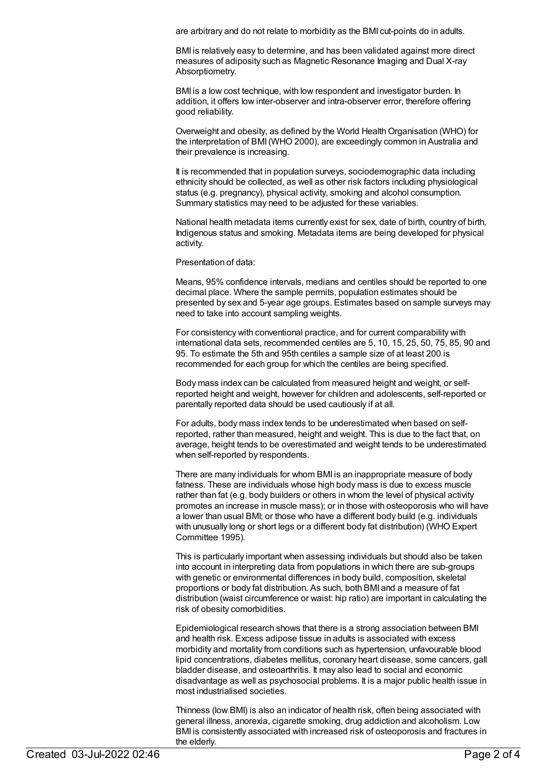are arbitrary and do not relate to morbidity as the BMI cut-points do in adults.

BMI is relatively easy to determine, and has been validated against more direct measures of adiposity such as Magnetic Resonance Imaging and Dual X-ray Absorptiometry.

BMI is a low cost technique, with low respondent and investigator burden. In addition, it offers low inter-observer and intra-observer error, therefore offering good reliability.

Overweight and obesity, as defined by the World Health Organisation (WHO) for the interpretation of BMI(WHO 2000), are exceedingly common in Australia and their prevalence is increasing.

It is recommended that in population surveys, sociodemographic data including ethnicity should be collected, as well as other risk factors including physiological status (e.g. pregnancy), physical activity, smoking and alcohol consumption. Summary statistics may need to be adjusted for these variables.

National health metadata items currently exist for sex, date of birth, country of birth, Indigenous status and smoking. Metadata items are being developed for physical activity.

Presentation of data:

Means, 95% confidence intervals, medians and centiles should be reported to one decimal place. Where the sample permits, population estimates should be presented by sex and 5-year age groups. Estimates based on sample surveys may need to take into account sampling weights.

For consistency with conventional practice, and for current comparability with international data sets, recommended centiles are 5, 10, 15, 25, 50, 75, 85, 90 and 95. To estimate the 5th and 95th centiles a sample size of at least 200 is recommended for each group for which the centiles are being specified.

Body mass index can be calculated from measured height and weight, or selfreported height and weight, however for children and adolescents, self-reported or parentally reported data should be used cautiously if at all.

For adults, body mass index tends to be underestimated when based on selfreported, rather than measured, height and weight. This is due to the fact that, on average, height tends to be overestimated and weight tends to be underestimated when self-reported by respondents.

There are many individuals for whom BMI is an inappropriate measure of body fatness. These are individuals whose high body mass is due to excess muscle rather than fat (e.g. body builders or others in whom the level of physical activity promotes an increase in muscle mass); or in those with osteoporosis who will have a lower than usual BMI; or those who have a different body build (e.g. individuals with unusually long or short legs or a different body fat distribution) (WHO Expert Committee 1995).

This is particularly important when assessing individuals but should also be taken into account in interpreting data from populations in which there are sub-groups with genetic or environmental differences in body build, composition, skeletal proportions or body fat distribution. As such, both BMI and a measure of fat distribution (waist circumference or waist: hip ratio) are important in calculating the risk of obesity comorbidities.

Epidemiological research shows that there is a strong association between BMI and health risk. Excess adipose tissue in adults is associated with excess morbidity and mortality from conditions such as hypertension, unfavourable blood lipid concentrations, diabetes mellitus, coronary heart disease, some cancers, gall bladder disease, and osteoarthritis. It may also lead to social and economic disadvantage as well as psychosocial problems. It is a major public health issue in most industrialised societies.

Thinness (low BMI) is also an indicator of health risk, often being associated with general illness, anorexia, cigarette smoking, drug addiction and alcoholism. Low BMI is consistently associated with increased risk of osteoporosis and fractures in the elderly.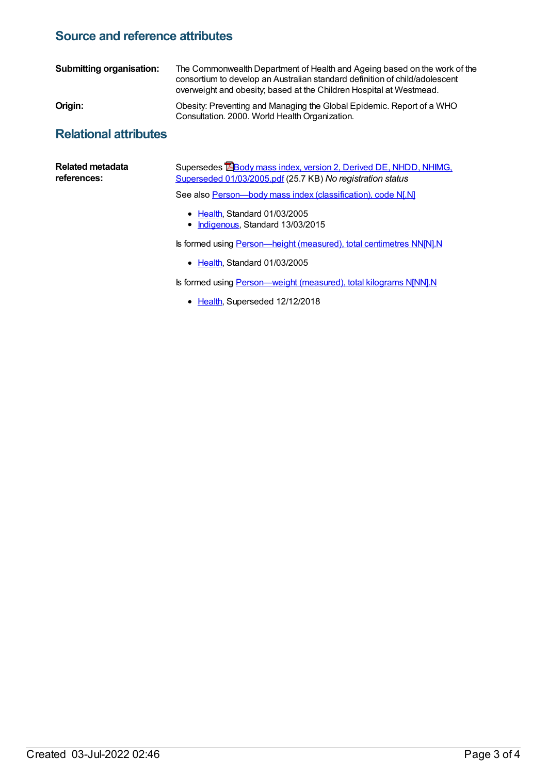#### **Source and reference attributes**

| <b>Submitting organisation:</b> | The Commonwealth Department of Health and Ageing based on the work of the<br>consortium to develop an Australian standard definition of child/adolescent<br>overweight and obesity; based at the Children Hospital at Westmead. |
|---------------------------------|---------------------------------------------------------------------------------------------------------------------------------------------------------------------------------------------------------------------------------|
| Origin:                         | Obesity: Preventing and Managing the Global Epidemic. Report of a WHO<br>Consultation. 2000. World Health Organization.                                                                                                         |
| <b>Relational attributes</b>    |                                                                                                                                                                                                                                 |

| <b>Related metadata</b><br>references: | Supersedes <b>EBody mass index, version 2, Derived DE, NHDD, NHIMG,</b><br>Superseded 01/03/2005.pdf (25.7 KB) No registration status |
|----------------------------------------|---------------------------------------------------------------------------------------------------------------------------------------|
|                                        | See also Person-body mass index (classification), code N[.N]                                                                          |
|                                        | • Health, Standard 01/03/2005<br>• Indigenous, Standard 13/03/2015                                                                    |
|                                        | Is formed using Person—height (measured), total centimetres NN[N].N                                                                   |
|                                        | • Health, Standard 01/03/2005                                                                                                         |

Is formed using **[Person—weight](https://meteor.aihw.gov.au/content/270208) (measured)**, total kilograms N[NN].N

• [Health](https://meteor.aihw.gov.au/RegistrationAuthority/12), Superseded 12/12/2018